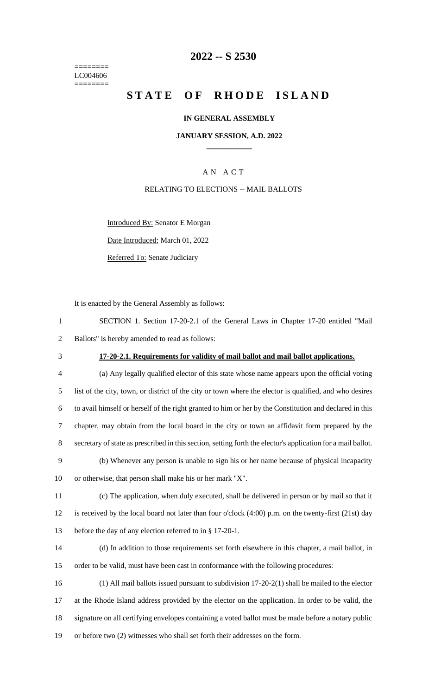======== LC004606 ========

# **-- S 2530**

# **STATE OF RHODE ISLAND**

### **IN GENERAL ASSEMBLY**

### **JANUARY SESSION, A.D. 2022 \_\_\_\_\_\_\_\_\_\_\_\_**

## A N A C T

### RELATING TO ELECTIONS -- MAIL BALLOTS

Introduced By: Senator E Morgan

Date Introduced: March 01, 2022

Referred To: Senate Judiciary

It is enacted by the General Assembly as follows:

| SECTION 1. Section 17-20-2.1 of the General Laws in Chapter 17-20 entitled "Mail |  |
|----------------------------------------------------------------------------------|--|
| 2 Ballots" is hereby amended to read as follows:                                 |  |

# **17-20-2.1. Requirements for validity of mail ballot and mail ballot applications.**

 (a) Any legally qualified elector of this state whose name appears upon the official voting list of the city, town, or district of the city or town where the elector is qualified, and who desires to avail himself or herself of the right granted to him or her by the Constitution and declared in this chapter, may obtain from the local board in the city or town an affidavit form prepared by the secretary of state as prescribed in this section, setting forth the elector's application for a mail ballot.

 (b) Whenever any person is unable to sign his or her name because of physical incapacity or otherwise, that person shall make his or her mark "X".

 (c) The application, when duly executed, shall be delivered in person or by mail so that it is received by the local board not later than four o'clock (4:00) p.m. on the twenty-first (21st) day before the day of any election referred to in § 17-20-1.

 (d) In addition to those requirements set forth elsewhere in this chapter, a mail ballot, in order to be valid, must have been cast in conformance with the following procedures:

 (1) All mail ballots issued pursuant to subdivision 17-20-2(1) shall be mailed to the elector at the Rhode Island address provided by the elector on the application. In order to be valid, the signature on all certifying envelopes containing a voted ballot must be made before a notary public or before two (2) witnesses who shall set forth their addresses on the form.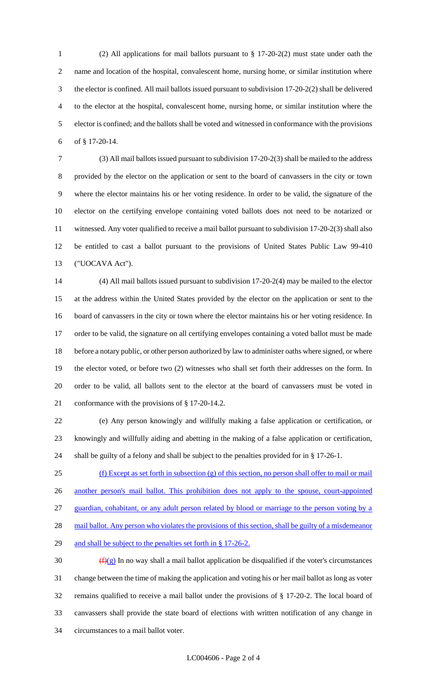(2) All applications for mail ballots pursuant to § 17-20-2(2) must state under oath the name and location of the hospital, convalescent home, nursing home, or similar institution where the elector is confined. All mail ballots issued pursuant to subdivision 17-20-2(2) shall be delivered to the elector at the hospital, convalescent home, nursing home, or similar institution where the elector is confined; and the ballots shall be voted and witnessed in conformance with the provisions of § 17-20-14.

 (3) All mail ballots issued pursuant to subdivision 17-20-2(3) shall be mailed to the address provided by the elector on the application or sent to the board of canvassers in the city or town where the elector maintains his or her voting residence. In order to be valid, the signature of the elector on the certifying envelope containing voted ballots does not need to be notarized or witnessed. Any voter qualified to receive a mail ballot pursuant to subdivision 17-20-2(3) shall also be entitled to cast a ballot pursuant to the provisions of United States Public Law 99-410 ("UOCAVA Act").

 (4) All mail ballots issued pursuant to subdivision 17-20-2(4) may be mailed to the elector at the address within the United States provided by the elector on the application or sent to the board of canvassers in the city or town where the elector maintains his or her voting residence. In order to be valid, the signature on all certifying envelopes containing a voted ballot must be made before a notary public, or other person authorized by law to administer oaths where signed, or where the elector voted, or before two (2) witnesses who shall set forth their addresses on the form. In order to be valid, all ballots sent to the elector at the board of canvassers must be voted in conformance with the provisions of § 17-20-14.2.

 (e) Any person knowingly and willfully making a false application or certification, or knowingly and willfully aiding and abetting in the making of a false application or certification, shall be guilty of a felony and shall be subject to the penalties provided for in § 17-26-1.

 (f) Except as set forth in subsection (g) of this section, no person shall offer to mail or mail another person's mail ballot. This prohibition does not apply to the spouse, court-appointed guardian, cohabitant, or any adult person related by blood or marriage to the person voting by a 28 mail ballot. Any person who violates the provisions of this section, shall be guilty of a misdemeanor 29 and shall be subject to the penalties set forth in § 17-26-2.

 $(f)(g)$  In no way shall a mail ballot application be disqualified if the voter's circumstances change between the time of making the application and voting his or her mail ballot as long as voter remains qualified to receive a mail ballot under the provisions of § 17-20-2. The local board of canvassers shall provide the state board of elections with written notification of any change in circumstances to a mail ballot voter.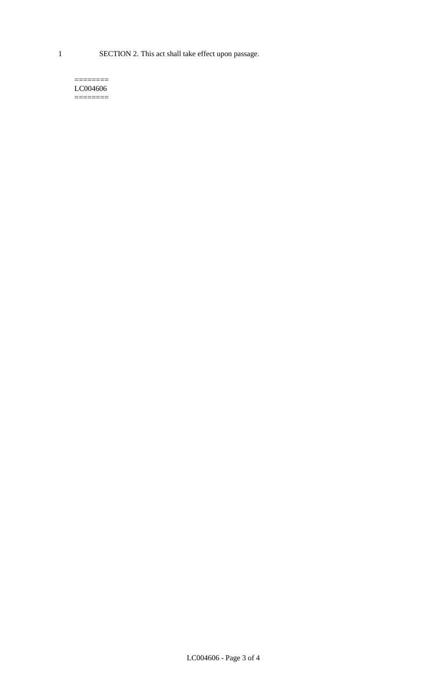1 SECTION 2. This act shall take effect upon passage.

#### $=$ LC004606  $=$